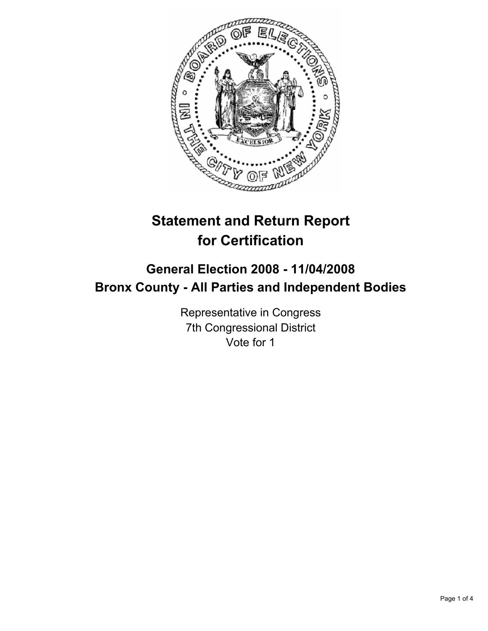

# **Statement and Return Report for Certification**

## **General Election 2008 - 11/04/2008 Bronx County - All Parties and Independent Bodies**

Representative in Congress 7th Congressional District Vote for 1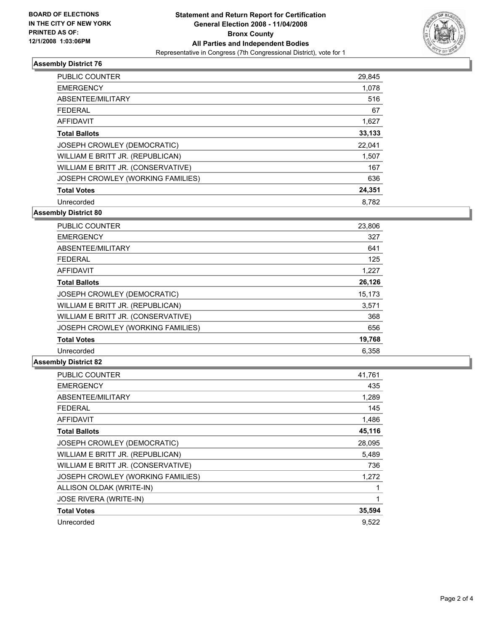

### **Assembly District 76**

| PUBLIC COUNTER                     | 29,845 |
|------------------------------------|--------|
| <b>EMERGENCY</b>                   | 1,078  |
| ABSENTEE/MILITARY                  | 516    |
| <b>FEDERAL</b>                     | 67     |
| <b>AFFIDAVIT</b>                   | 1,627  |
| <b>Total Ballots</b>               | 33,133 |
| JOSEPH CROWLEY (DEMOCRATIC)        | 22,041 |
| WILLIAM E BRITT JR. (REPUBLICAN)   | 1,507  |
| WILLIAM E BRITT JR. (CONSERVATIVE) | 167    |
| JOSEPH CROWLEY (WORKING FAMILIES)  | 636    |
| <b>Total Votes</b>                 | 24,351 |
| Unrecorded                         | 8.782  |

**Assembly District 80**

| PUBLIC COUNTER                     | 23,806 |
|------------------------------------|--------|
| <b>EMERGENCY</b>                   | 327    |
| ABSENTEE/MILITARY                  | 641    |
| <b>FEDERAL</b>                     | 125    |
| <b>AFFIDAVIT</b>                   | 1,227  |
| <b>Total Ballots</b>               | 26,126 |
| JOSEPH CROWLEY (DEMOCRATIC)        | 15,173 |
| WILLIAM E BRITT JR. (REPUBLICAN)   | 3,571  |
| WILLIAM E BRITT JR. (CONSERVATIVE) | 368    |
| JOSEPH CROWLEY (WORKING FAMILIES)  | 656    |
| <b>Total Votes</b>                 | 19,768 |
| Unrecorded                         | 6.358  |

#### **Assembly District 82**

| <b>PUBLIC COUNTER</b>              | 41,761 |
|------------------------------------|--------|
| <b>EMERGENCY</b>                   | 435    |
| ABSENTEE/MILITARY                  | 1,289  |
| <b>FEDERAL</b>                     | 145    |
| <b>AFFIDAVIT</b>                   | 1,486  |
| <b>Total Ballots</b>               | 45,116 |
| JOSEPH CROWLEY (DEMOCRATIC)        | 28,095 |
| WILLIAM E BRITT JR. (REPUBLICAN)   | 5,489  |
| WILLIAM E BRITT JR. (CONSERVATIVE) | 736    |
| JOSEPH CROWLEY (WORKING FAMILIES)  | 1,272  |
| ALLISON OLDAK (WRITE-IN)           |        |
| <b>JOSE RIVERA (WRITE-IN)</b>      |        |
| <b>Total Votes</b>                 | 35,594 |
| Unrecorded                         | 9.522  |
|                                    |        |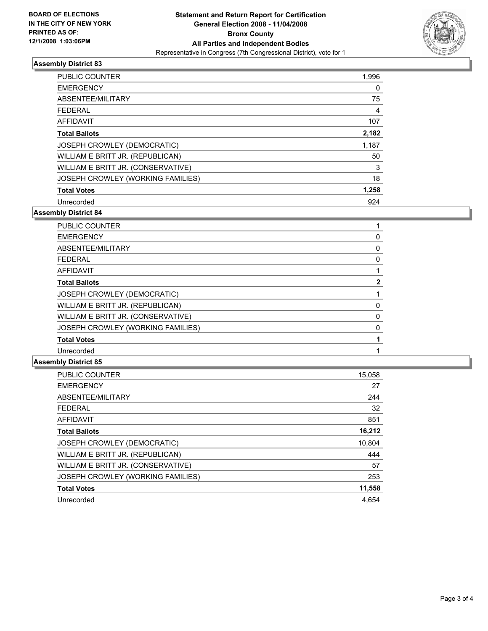

### **Assembly District 83**

| <b>PUBLIC COUNTER</b>              | 1,996 |
|------------------------------------|-------|
| <b>EMERGENCY</b>                   | O     |
| ABSENTEE/MILITARY                  | 75    |
| <b>FEDERAL</b>                     | 4     |
| AFFIDAVIT                          | 107   |
| <b>Total Ballots</b>               | 2,182 |
| JOSEPH CROWLEY (DEMOCRATIC)        | 1,187 |
| WILLIAM E BRITT JR. (REPUBLICAN)   | 50    |
| WILLIAM E BRITT JR. (CONSERVATIVE) | 3     |
| JOSEPH CROWLEY (WORKING FAMILIES)  | 18    |
| <b>Total Votes</b>                 | 1,258 |
| Unrecorded                         | 924   |

**Assembly District 84**

| <b>PUBLIC COUNTER</b>              |  |
|------------------------------------|--|
| <b>EMERGENCY</b>                   |  |
| ABSENTEE/MILITARY                  |  |
| <b>FEDERAL</b>                     |  |
| AFFIDAVIT                          |  |
| <b>Total Ballots</b>               |  |
| JOSEPH CROWLEY (DEMOCRATIC)        |  |
| WILLIAM E BRITT JR. (REPUBLICAN)   |  |
| WILLIAM E BRITT JR. (CONSERVATIVE) |  |
| JOSEPH CROWLEY (WORKING FAMILIES)  |  |
| <b>Total Votes</b>                 |  |
| Unrecorded                         |  |

#### **Assembly District 85**

| PUBLIC COUNTER                     | 15,058 |
|------------------------------------|--------|
| <b>EMERGENCY</b>                   | 27     |
| ABSENTEE/MILITARY                  | 244    |
| <b>FEDERAL</b>                     | 32     |
| <b>AFFIDAVIT</b>                   | 851    |
| <b>Total Ballots</b>               | 16,212 |
| <b>JOSEPH CROWLEY (DEMOCRATIC)</b> | 10,804 |
| WILLIAM E BRITT JR. (REPUBLICAN)   | 444    |
| WILLIAM E BRITT JR. (CONSERVATIVE) | 57     |
| JOSEPH CROWLEY (WORKING FAMILIES)  | 253    |
| <b>Total Votes</b>                 | 11,558 |
| Unrecorded                         | 4.654  |